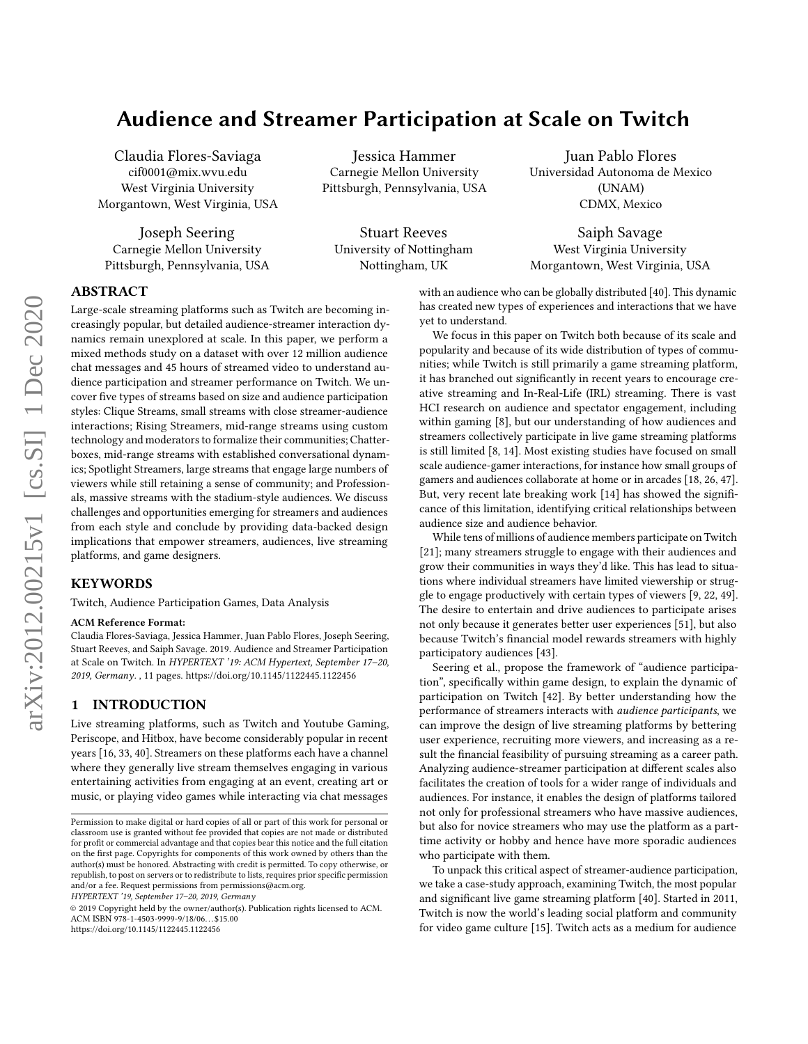# Audience and Streamer Participation at Scale on Twitch

Claudia Flores-Saviaga cif0001@mix.wvu.edu West Virginia University Morgantown, West Virginia, USA

Joseph Seering Carnegie Mellon University Pittsburgh, Pennsylvania, USA

Jessica Hammer Carnegie Mellon University Pittsburgh, Pennsylvania, USA

Stuart Reeves University of Nottingham Nottingham, UK

Juan Pablo Flores Universidad Autonoma de Mexico (UNAM) CDMX, Mexico

Saiph Savage West Virginia University Morgantown, West Virginia, USA

# ABSTRACT

Large-scale streaming platforms such as Twitch are becoming increasingly popular, but detailed audience-streamer interaction dynamics remain unexplored at scale. In this paper, we perform a mixed methods study on a dataset with over 12 million audience chat messages and 45 hours of streamed video to understand audience participation and streamer performance on Twitch. We uncover five types of streams based on size and audience participation styles: Clique Streams, small streams with close streamer-audience interactions; Rising Streamers, mid-range streams using custom technology and moderators to formalize their communities; Chatterboxes, mid-range streams with established conversational dynamics; Spotlight Streamers, large streams that engage large numbers of viewers while still retaining a sense of community; and Professionals, massive streams with the stadium-style audiences. We discuss challenges and opportunities emerging for streamers and audiences from each style and conclude by providing data-backed design implications that empower streamers, audiences, live streaming platforms, and game designers.

#### KEYWORDS

Twitch, Audience Participation Games, Data Analysis

#### ACM Reference Format:

Claudia Flores-Saviaga, Jessica Hammer, Juan Pablo Flores, Joseph Seering, Stuart Reeves, and Saiph Savage. 2019. Audience and Streamer Participation at Scale on Twitch. In HYPERTEXT '19: ACM Hypertext, September 17–20, 2019, Germany. , [11](#page-10-0) pages.<https://doi.org/10.1145/1122445.1122456>

#### 1 INTRODUCTION

Live streaming platforms, such as Twitch and Youtube Gaming, Periscope, and Hitbox, have become considerably popular in recent years [\[16,](#page-9-0) [33,](#page-9-1) [40\]](#page-9-2). Streamers on these platforms each have a channel where they generally live stream themselves engaging in various entertaining activities from engaging at an event, creating art or music, or playing video games while interacting via chat messages

HYPERTEXT '19, September 17–20, 2019, Germany

© 2019 Copyright held by the owner/author(s). Publication rights licensed to ACM. ACM ISBN 978-1-4503-9999-9/18/06. . . \$15.00 <https://doi.org/10.1145/1122445.1122456>

with an audience who can be globally distributed [\[40\]](#page-9-2). This dynamic has created new types of experiences and interactions that we have yet to understand.

We focus in this paper on Twitch both because of its scale and popularity and because of its wide distribution of types of communities; while Twitch is still primarily a game streaming platform, it has branched out significantly in recent years to encourage creative streaming and In-Real-Life (IRL) streaming. There is vast HCI research on audience and spectator engagement, including within gaming [\[8\]](#page-9-3), but our understanding of how audiences and streamers collectively participate in live game streaming platforms is still limited [\[8,](#page-9-3) [14\]](#page-9-4). Most existing studies have focused on small scale audience-gamer interactions, for instance how small groups of gamers and audiences collaborate at home or in arcades [\[18,](#page-9-5) [26,](#page-9-6) [47\]](#page-9-7). But, very recent late breaking work [\[14\]](#page-9-4) has showed the significance of this limitation, identifying critical relationships between audience size and audience behavior.

While tens of millions of audience members participate on Twitch [\[21\]](#page-9-8); many streamers struggle to engage with their audiences and grow their communities in ways they'd like. This has lead to situations where individual streamers have limited viewership or struggle to engage productively with certain types of viewers [\[9,](#page-9-9) [22,](#page-9-10) [49\]](#page-10-1). The desire to entertain and drive audiences to participate arises not only because it generates better user experiences [\[51\]](#page-10-2), but also because Twitch's financial model rewards streamers with highly participatory audiences [\[43\]](#page-9-11).

Seering et al., propose the framework of "audience participation", specifically within game design, to explain the dynamic of participation on Twitch [\[42\]](#page-9-12). By better understanding how the performance of streamers interacts with audience participants, we can improve the design of live streaming platforms by bettering user experience, recruiting more viewers, and increasing as a result the financial feasibility of pursuing streaming as a career path. Analyzing audience-streamer participation at different scales also facilitates the creation of tools for a wider range of individuals and audiences. For instance, it enables the design of platforms tailored not only for professional streamers who have massive audiences, but also for novice streamers who may use the platform as a parttime activity or hobby and hence have more sporadic audiences who participate with them.

To unpack this critical aspect of streamer-audience participation, we take a case-study approach, examining Twitch, the most popular and significant live game streaming platform [\[40\]](#page-9-2). Started in 2011, Twitch is now the world's leading social platform and community for video game culture [\[15\]](#page-9-13). Twitch acts as a medium for audience

Permission to make digital or hard copies of all or part of this work for personal or classroom use is granted without fee provided that copies are not made or distributed for profit or commercial advantage and that copies bear this notice and the full citation on the first page. Copyrights for components of this work owned by others than the author(s) must be honored. Abstracting with credit is permitted. To copy otherwise, or republish, to post on servers or to redistribute to lists, requires prior specific permission and/or a fee. Request permissions from permissions@acm.org.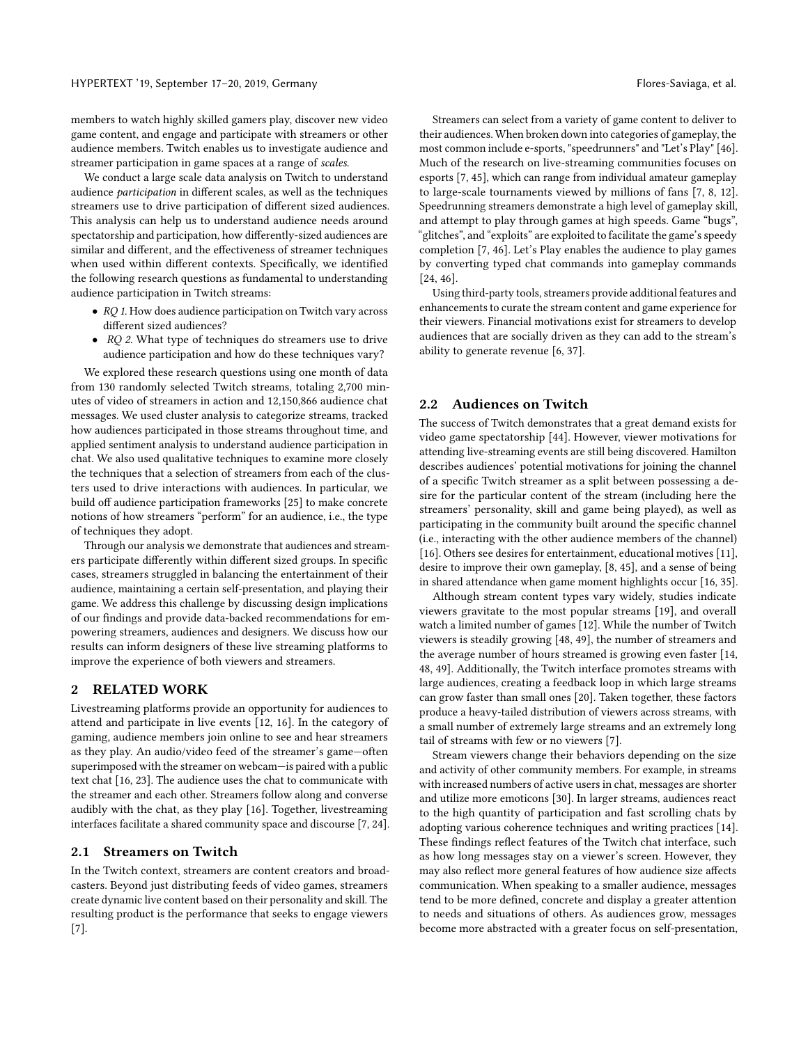members to watch highly skilled gamers play, discover new video game content, and engage and participate with streamers or other audience members. Twitch enables us to investigate audience and streamer participation in game spaces at a range of scales.

We conduct a large scale data analysis on Twitch to understand audience participation in different scales, as well as the techniques streamers use to drive participation of different sized audiences. This analysis can help us to understand audience needs around spectatorship and participation, how differently-sized audiences are similar and different, and the effectiveness of streamer techniques when used within different contexts. Specifically, we identified the following research questions as fundamental to understanding audience participation in Twitch streams:

- RQ 1. How does audience participation on Twitch vary across different sized audiences?
- RQ 2. What type of techniques do streamers use to drive audience participation and how do these techniques vary?

We explored these research questions using one month of data from 130 randomly selected Twitch streams, totaling 2,700 minutes of video of streamers in action and 12,150,866 audience chat messages. We used cluster analysis to categorize streams, tracked how audiences participated in those streams throughout time, and applied sentiment analysis to understand audience participation in chat. We also used qualitative techniques to examine more closely the techniques that a selection of streamers from each of the clusters used to drive interactions with audiences. In particular, we build off audience participation frameworks [\[25\]](#page-9-14) to make concrete notions of how streamers "perform" for an audience, i.e., the type of techniques they adopt.

Through our analysis we demonstrate that audiences and streamers participate differently within different sized groups. In specific cases, streamers struggled in balancing the entertainment of their audience, maintaining a certain self-presentation, and playing their game. We address this challenge by discussing design implications of our findings and provide data-backed recommendations for empowering streamers, audiences and designers. We discuss how our results can inform designers of these live streaming platforms to improve the experience of both viewers and streamers.

# 2 RELATED WORK

Livestreaming platforms provide an opportunity for audiences to attend and participate in live events [\[12,](#page-9-15) [16\]](#page-9-0). In the category of gaming, audience members join online to see and hear streamers as they play. An audio/video feed of the streamer's game—often superimposed with the streamer on webcam—is paired with a public text chat [\[16,](#page-9-0) [23\]](#page-9-16). The audience uses the chat to communicate with the streamer and each other. Streamers follow along and converse audibly with the chat, as they play [\[16\]](#page-9-0). Together, livestreaming interfaces facilitate a shared community space and discourse [\[7,](#page-9-17) [24\]](#page-9-18).

#### 2.1 Streamers on Twitch

In the Twitch context, streamers are content creators and broadcasters. Beyond just distributing feeds of video games, streamers create dynamic live content based on their personality and skill. The resulting product is the performance that seeks to engage viewers [\[7\]](#page-9-17).

Streamers can select from a variety of game content to deliver to their audiences. When broken down into categories of gameplay, the most common include e-sports, "speedrunners" and "Let's Play" [\[46\]](#page-9-19). Much of the research on live-streaming communities focuses on esports [\[7,](#page-9-17) [45\]](#page-9-20), which can range from individual amateur gameplay to large-scale tournaments viewed by millions of fans [\[7,](#page-9-17) [8,](#page-9-3) [12\]](#page-9-15). Speedrunning streamers demonstrate a high level of gameplay skill, and attempt to play through games at high speeds. Game "bugs", "glitches", and "exploits" are exploited to facilitate the game's speedy completion [\[7,](#page-9-17) [46\]](#page-9-19). Let's Play enables the audience to play games by converting typed chat commands into gameplay commands [\[24,](#page-9-18) [46\]](#page-9-19).

Using third-party tools, streamers provide additional features and enhancements to curate the stream content and game experience for their viewers. Financial motivations exist for streamers to develop audiences that are socially driven as they can add to the stream's ability to generate revenue [\[6,](#page-9-21) [37\]](#page-9-22).

#### 2.2 Audiences on Twitch

The success of Twitch demonstrates that a great demand exists for video game spectatorship [\[44\]](#page-9-23). However, viewer motivations for attending live-streaming events are still being discovered. Hamilton describes audiences' potential motivations for joining the channel of a specific Twitch streamer as a split between possessing a desire for the particular content of the stream (including here the streamers' personality, skill and game being played), as well as participating in the community built around the specific channel (i.e., interacting with the other audience members of the channel) [\[16\]](#page-9-0). Others see desires for entertainment, educational motives [\[11\]](#page-9-24), desire to improve their own gameplay, [\[8,](#page-9-3) [45\]](#page-9-20), and a sense of being in shared attendance when game moment highlights occur [\[16,](#page-9-0) [35\]](#page-9-25).

Although stream content types vary widely, studies indicate viewers gravitate to the most popular streams [\[19\]](#page-9-26), and overall watch a limited number of games [\[12\]](#page-9-15). While the number of Twitch viewers is steadily growing [\[48,](#page-10-3) [49\]](#page-10-1), the number of streamers and the average number of hours streamed is growing even faster [\[14,](#page-9-4) [48,](#page-10-3) [49\]](#page-10-1). Additionally, the Twitch interface promotes streams with large audiences, creating a feedback loop in which large streams can grow faster than small ones [\[20\]](#page-9-27). Taken together, these factors produce a heavy-tailed distribution of viewers across streams, with a small number of extremely large streams and an extremely long tail of streams with few or no viewers [\[7\]](#page-9-17).

Stream viewers change their behaviors depending on the size and activity of other community members. For example, in streams with increased numbers of active users in chat, messages are shorter and utilize more emoticons [\[30\]](#page-9-28). In larger streams, audiences react to the high quantity of participation and fast scrolling chats by adopting various coherence techniques and writing practices [\[14\]](#page-9-4). These findings reflect features of the Twitch chat interface, such as how long messages stay on a viewer's screen. However, they may also reflect more general features of how audience size affects communication. When speaking to a smaller audience, messages tend to be more defined, concrete and display a greater attention to needs and situations of others. As audiences grow, messages become more abstracted with a greater focus on self-presentation,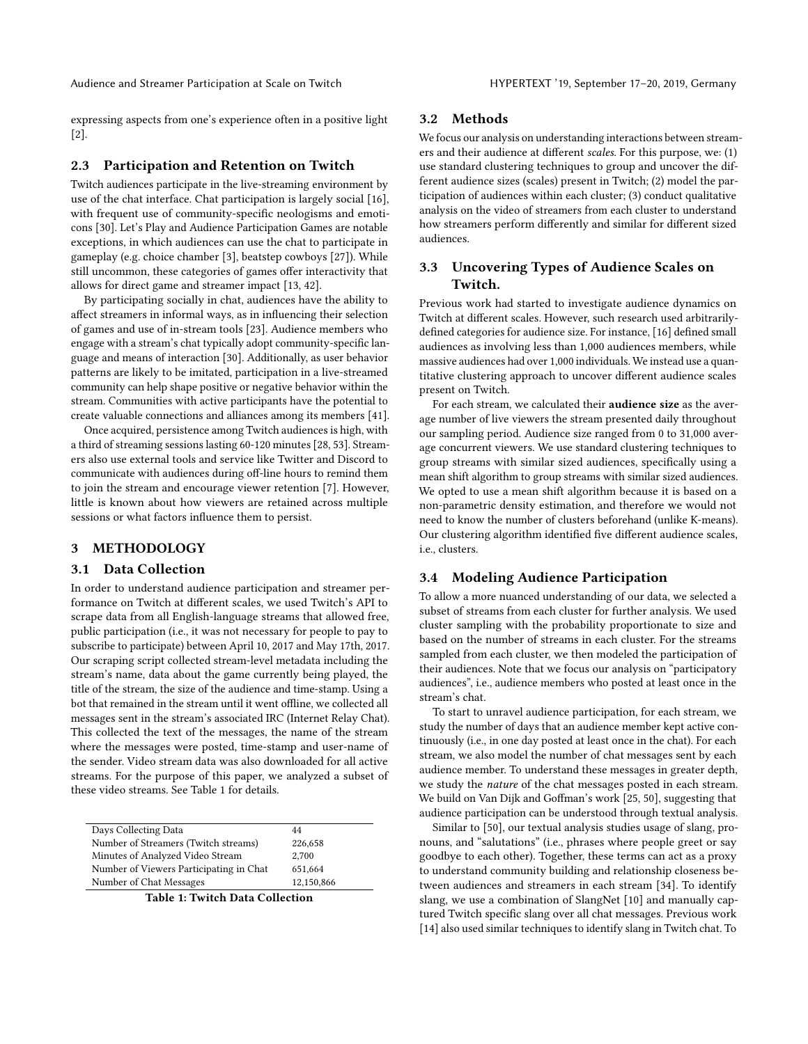expressing aspects from one's experience often in a positive light [\[2\]](#page-9-29).

#### 2.3 Participation and Retention on Twitch

Twitch audiences participate in the live-streaming environment by use of the chat interface. Chat participation is largely social [\[16\]](#page-9-0), with frequent use of community-specific neologisms and emoticons [\[30\]](#page-9-28). Let's Play and Audience Participation Games are notable exceptions, in which audiences can use the chat to participate in gameplay (e.g. choice chamber [\[3\]](#page-9-30), beatstep cowboys [\[27\]](#page-9-31)). While still uncommon, these categories of games offer interactivity that allows for direct game and streamer impact [\[13,](#page-9-32) [42\]](#page-9-12).

By participating socially in chat, audiences have the ability to affect streamers in informal ways, as in influencing their selection of games and use of in-stream tools [\[23\]](#page-9-16). Audience members who engage with a stream's chat typically adopt community-specific language and means of interaction [\[30\]](#page-9-28). Additionally, as user behavior patterns are likely to be imitated, participation in a live-streamed community can help shape positive or negative behavior within the stream. Communities with active participants have the potential to create valuable connections and alliances among its members [\[41\]](#page-9-33).

Once acquired, persistence among Twitch audiences is high, with a third of streaming sessions lasting 60-120 minutes [\[28,](#page-9-34) [53\]](#page-10-4). Streamers also use external tools and service like Twitter and Discord to communicate with audiences during off-line hours to remind them to join the stream and encourage viewer retention [\[7\]](#page-9-17). However, little is known about how viewers are retained across multiple sessions or what factors influence them to persist.

### 3 METHODOLOGY

#### 3.1 Data Collection

In order to understand audience participation and streamer performance on Twitch at different scales, we used Twitch's API to scrape data from all English-language streams that allowed free, public participation (i.e., it was not necessary for people to pay to subscribe to participate) between April 10, 2017 and May 17th, 2017. Our scraping script collected stream-level metadata including the stream's name, data about the game currently being played, the title of the stream, the size of the audience and time-stamp. Using a bot that remained in the stream until it went offline, we collected all messages sent in the stream's associated IRC (Internet Relay Chat). This collected the text of the messages, the name of the stream where the messages were posted, time-stamp and user-name of the sender. Video stream data was also downloaded for all active streams. For the purpose of this paper, we analyzed a subset of these video streams. See Table [1](#page-2-0) for details.

<span id="page-2-0"></span>

| Days Collecting Data                    | 44         |
|-----------------------------------------|------------|
| Number of Streamers (Twitch streams)    | 226,658    |
| Minutes of Analyzed Video Stream        | 2.700      |
| Number of Viewers Participating in Chat | 651,664    |
| Number of Chat Messages                 | 12,150,866 |
|                                         |            |

Table 1: Twitch Data Collection

#### 3.2 Methods

We focus our analysis on understanding interactions between streamers and their audience at different scales. For this purpose, we: (1) use standard clustering techniques to group and uncover the different audience sizes (scales) present in Twitch; (2) model the participation of audiences within each cluster; (3) conduct qualitative analysis on the video of streamers from each cluster to understand how streamers perform differently and similar for different sized audiences.

# 3.3 Uncovering Types of Audience Scales on Twitch.

Previous work had started to investigate audience dynamics on Twitch at different scales. However, such research used arbitrarilydefined categories for audience size. For instance, [\[16\]](#page-9-0) defined small audiences as involving less than 1,000 audiences members, while massive audiences had over 1,000 individuals. We instead use a quantitative clustering approach to uncover different audience scales present on Twitch.

For each stream, we calculated their audience size as the average number of live viewers the stream presented daily throughout our sampling period. Audience size ranged from 0 to 31,000 average concurrent viewers. We use standard clustering techniques to group streams with similar sized audiences, specifically using a mean shift algorithm to group streams with similar sized audiences. We opted to use a mean shift algorithm because it is based on a non-parametric density estimation, and therefore we would not need to know the number of clusters beforehand (unlike K-means). Our clustering algorithm identified five different audience scales, i.e., clusters.

#### 3.4 Modeling Audience Participation

To allow a more nuanced understanding of our data, we selected a subset of streams from each cluster for further analysis. We used cluster sampling with the probability proportionate to size and based on the number of streams in each cluster. For the streams sampled from each cluster, we then modeled the participation of their audiences. Note that we focus our analysis on "participatory audiences", i.e., audience members who posted at least once in the stream's chat.

To start to unravel audience participation, for each stream, we study the number of days that an audience member kept active continuously (i.e., in one day posted at least once in the chat). For each stream, we also model the number of chat messages sent by each audience member. To understand these messages in greater depth, we study the nature of the chat messages posted in each stream. We build on Van Dijk and Goffman's work [\[25,](#page-9-14) [50\]](#page-10-5), suggesting that audience participation can be understood through textual analysis.

Similar to [\[50\]](#page-10-5), our textual analysis studies usage of slang, pronouns, and "salutations" (i.e., phrases where people greet or say goodbye to each other). Together, these terms can act as a proxy to understand community building and relationship closeness between audiences and streamers in each stream [\[34\]](#page-9-35). To identify slang, we use a combination of SlangNet [\[10\]](#page-9-36) and manually captured Twitch specific slang over all chat messages. Previous work [\[14\]](#page-9-4) also used similar techniques to identify slang in Twitch chat. To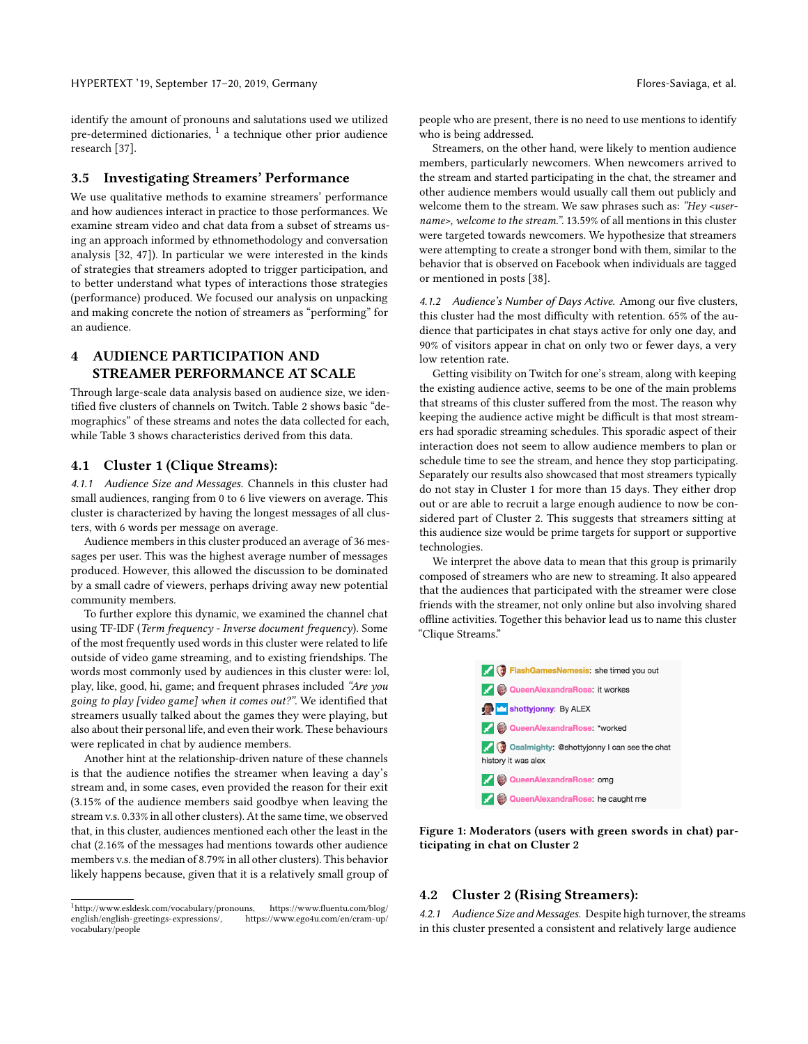identify the amount of pronouns and salutations used we utilized pre-determined dictionaries,  $^{\rm 1}$  $^{\rm 1}$  $^{\rm 1}$  a technique other prior audience research [\[37\]](#page-9-22).

# 3.5 Investigating Streamers' Performance

We use qualitative methods to examine streamers' performance and how audiences interact in practice to those performances. We examine stream video and chat data from a subset of streams using an approach informed by ethnomethodology and conversation analysis [\[32,](#page-9-37) [47\]](#page-9-7)). In particular we were interested in the kinds of strategies that streamers adopted to trigger participation, and to better understand what types of interactions those strategies (performance) produced. We focused our analysis on unpacking and making concrete the notion of streamers as "performing" for an audience.

# 4 AUDIENCE PARTICIPATION AND STREAMER PERFORMANCE AT SCALE

Through large-scale data analysis based on audience size, we identified five clusters of channels on Twitch. Table [2](#page-4-0) shows basic "demographics" of these streams and notes the data collected for each, while Table [3](#page-4-1) shows characteristics derived from this data.

#### 4.1 Cluster 1 (Clique Streams):

4.1.1 Audience Size and Messages. Channels in this cluster had small audiences, ranging from 0 to 6 live viewers on average. This cluster is characterized by having the longest messages of all clusters, with 6 words per message on average.

Audience members in this cluster produced an average of 36 messages per user. This was the highest average number of messages produced. However, this allowed the discussion to be dominated by a small cadre of viewers, perhaps driving away new potential community members.

To further explore this dynamic, we examined the channel chat using TF-IDF (Term frequency - Inverse document frequency). Some of the most frequently used words in this cluster were related to life outside of video game streaming, and to existing friendships. The words most commonly used by audiences in this cluster were: lol, play, like, good, hi, game; and frequent phrases included "Are you going to play [video game] when it comes out?". We identified that streamers usually talked about the games they were playing, but also about their personal life, and even their work. These behaviours were replicated in chat by audience members.

Another hint at the relationship-driven nature of these channels is that the audience notifies the streamer when leaving a day's stream and, in some cases, even provided the reason for their exit (3.15% of the audience members said goodbye when leaving the stream v.s. 0.33% in all other clusters). At the same time, we observed that, in this cluster, audiences mentioned each other the least in the chat (2.16% of the messages had mentions towards other audience members v.s. the median of 8.79% in all other clusters). This behavior likely happens because, given that it is a relatively small group of people who are present, there is no need to use mentions to identify who is being addressed.

Streamers, on the other hand, were likely to mention audience members, particularly newcomers. When newcomers arrived to the stream and started participating in the chat, the streamer and other audience members would usually call them out publicly and welcome them to the stream. We saw phrases such as: "Hey <username>, welcome to the stream.". 13.59% of all mentions in this cluster were targeted towards newcomers. We hypothesize that streamers were attempting to create a stronger bond with them, similar to the behavior that is observed on Facebook when individuals are tagged or mentioned in posts [\[38\]](#page-9-38).

4.1.2 Audience's Number of Days Active. Among our five clusters, this cluster had the most difficulty with retention. 65% of the audience that participates in chat stays active for only one day, and 90% of visitors appear in chat on only two or fewer days, a very low retention rate.

Getting visibility on Twitch for one's stream, along with keeping the existing audience active, seems to be one of the main problems that streams of this cluster suffered from the most. The reason why keeping the audience active might be difficult is that most streamers had sporadic streaming schedules. This sporadic aspect of their interaction does not seem to allow audience members to plan or schedule time to see the stream, and hence they stop participating. Separately our results also showcased that most streamers typically do not stay in Cluster 1 for more than 15 days. They either drop out or are able to recruit a large enough audience to now be considered part of Cluster 2. This suggests that streamers sitting at this audience size would be prime targets for support or supportive technologies.

We interpret the above data to mean that this group is primarily composed of streamers who are new to streaming. It also appeared that the audiences that participated with the streamer were close friends with the streamer, not only online but also involving shared offline activities. Together this behavior lead us to name this cluster "Clique Streams."





#### 4.2 Cluster 2 (Rising Streamers):

4.2.1 Audience Size and Messages. Despite high turnover, the streams in this cluster presented a consistent and relatively large audience

<span id="page-3-0"></span> $\noindent \n\noindent \n\n[http://www.deent.com/blog/english-gregies-expressions/](http://www.esldesk.com/vocabulary/pronouns), \n[https://www.ego4u.com/en/cram-up/](https://www.ego4u.com/en/cram-up/english-gregies-expressions/)$ [english/english-greetings-expressions/,](https://www.fluentu.com/blog/english/english-greetings-expressions/) [vocabulary/people](https://www.ego4u.com/en/cram-up/vocabulary/people)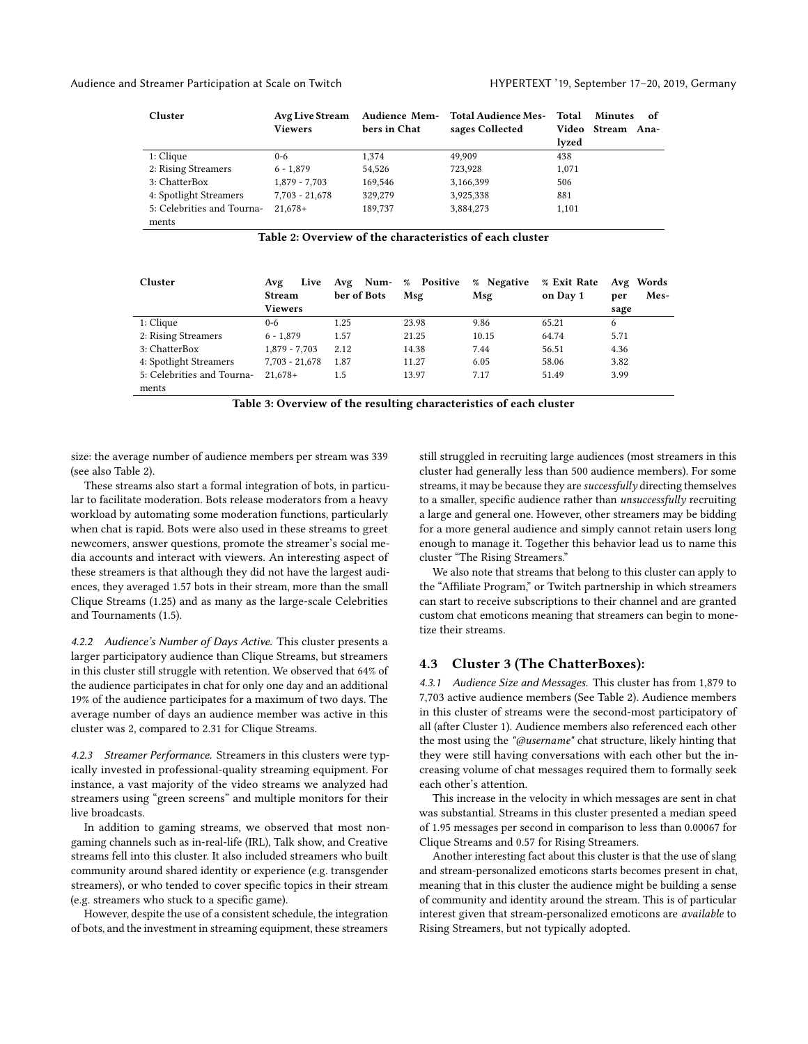<span id="page-4-0"></span>

| Cluster                    | Avg Live Stream  |              | Audience Mem- Total Audience Mes- | Total | <b>Minutes</b>    | 0f |
|----------------------------|------------------|--------------|-----------------------------------|-------|-------------------|----|
|                            | <b>Viewers</b>   | bers in Chat | sages Collected                   |       | Video Stream Ana- |    |
|                            |                  |              |                                   | lyzed |                   |    |
| $1:$ Clique                | $0 - 6$          | 1,374        | 49.909                            | 438   |                   |    |
| 2: Rising Streamers        | $6 - 1.879$      | 54,526       | 723,928                           | 1.071 |                   |    |
| 3: ChatterBox              | $1.879 - 7.703$  | 169.546      | 3,166,399                         | 506   |                   |    |
| 4: Spotlight Streamers     | $7,703 - 21,678$ | 329,279      | 3,925,338                         | 881   |                   |    |
| 5: Celebrities and Tourna- | $21.678+$        | 189.737      | 3,884,273                         | 1,101 |                   |    |
| ments                      |                  |              |                                   |       |                   |    |

Table 2: Overview of the characteristics of each cluster

<span id="page-4-1"></span>

| Cluster                    | Live<br>Avg<br><b>Stream</b> | Avg Num- % Positive<br>ber of Bots | Msg   | % Negative<br>Msg | % Exit Rate<br>on Day 1 | Avg Words<br>Mes-<br>per |
|----------------------------|------------------------------|------------------------------------|-------|-------------------|-------------------------|--------------------------|
|                            | Viewers                      |                                    |       |                   |                         | sage                     |
| 1: Clique                  | $0 - 6$                      | 1.25                               | 23.98 | 9.86              | 65.21                   | 6                        |
| 2: Rising Streamers        | $6 - 1.879$                  | 1.57                               | 21.25 | 10.15             | 64.74                   | 5.71                     |
| 3: ChatterBox              | $1.879 - 7.703$              | 2.12                               | 14.38 | 7.44              | 56.51                   | 4.36                     |
| 4: Spotlight Streamers     | $7.703 - 21.678$             | 1.87                               | 11.27 | 6.05              | 58.06                   | 3.82                     |
| 5: Celebrities and Tourna- | $21.678+$                    | 1.5                                | 13.97 | 7.17              | 51.49                   | 3.99                     |
| ments                      |                              |                                    |       |                   |                         |                          |

Table 3: Overview of the resulting characteristics of each cluster

size: the average number of audience members per stream was 339 (see also Table [2\)](#page-4-0).

These streams also start a formal integration of bots, in particular to facilitate moderation. Bots release moderators from a heavy workload by automating some moderation functions, particularly when chat is rapid. Bots were also used in these streams to greet newcomers, answer questions, promote the streamer's social media accounts and interact with viewers. An interesting aspect of these streamers is that although they did not have the largest audiences, they averaged 1.57 bots in their stream, more than the small Clique Streams (1.25) and as many as the large-scale Celebrities and Tournaments (1.5).

4.2.2 Audience's Number of Days Active. This cluster presents a larger participatory audience than Clique Streams, but streamers in this cluster still struggle with retention. We observed that 64% of the audience participates in chat for only one day and an additional 19% of the audience participates for a maximum of two days. The average number of days an audience member was active in this cluster was 2, compared to 2.31 for Clique Streams.

4.2.3 Streamer Performance. Streamers in this clusters were typically invested in professional-quality streaming equipment. For instance, a vast majority of the video streams we analyzed had streamers using "green screens" and multiple monitors for their live broadcasts.

In addition to gaming streams, we observed that most nongaming channels such as in-real-life (IRL), Talk show, and Creative streams fell into this cluster. It also included streamers who built community around shared identity or experience (e.g. transgender streamers), or who tended to cover specific topics in their stream (e.g. streamers who stuck to a specific game).

However, despite the use of a consistent schedule, the integration of bots, and the investment in streaming equipment, these streamers

still struggled in recruiting large audiences (most streamers in this cluster had generally less than 500 audience members). For some streams, it may be because they are successfully directing themselves to a smaller, specific audience rather than unsuccessfully recruiting a large and general one. However, other streamers may be bidding for a more general audience and simply cannot retain users long enough to manage it. Together this behavior lead us to name this cluster "The Rising Streamers."

We also note that streams that belong to this cluster can apply to the "Affiliate Program," or Twitch partnership in which streamers can start to receive subscriptions to their channel and are granted custom chat emoticons meaning that streamers can begin to monetize their streams.

#### 4.3 Cluster 3 (The ChatterBoxes):

4.3.1 Audience Size and Messages. This cluster has from 1,879 to 7,703 active audience members (See Table [2\)](#page-4-0). Audience members in this cluster of streams were the second-most participatory of all (after Cluster 1). Audience members also referenced each other the most using the "@username" chat structure, likely hinting that they were still having conversations with each other but the increasing volume of chat messages required them to formally seek each other's attention.

This increase in the velocity in which messages are sent in chat was substantial. Streams in this cluster presented a median speed of 1.95 messages per second in comparison to less than 0.00067 for Clique Streams and 0.57 for Rising Streamers.

Another interesting fact about this cluster is that the use of slang and stream-personalized emoticons starts becomes present in chat, meaning that in this cluster the audience might be building a sense of community and identity around the stream. This is of particular interest given that stream-personalized emoticons are available to Rising Streamers, but not typically adopted.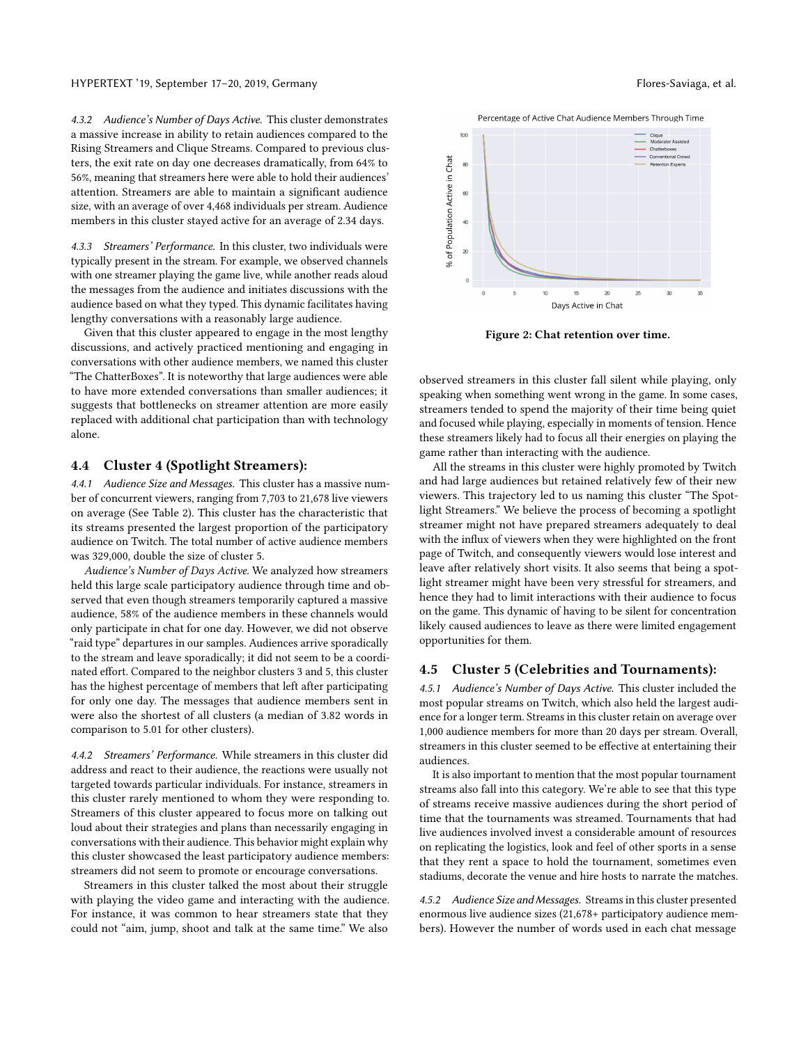4.3.2 Audience's Number of Days Active. This cluster demonstrates a massive increase in ability to retain audiences compared to the Rising Streamers and Clique Streams. Compared to previous clusters, the exit rate on day one decreases dramatically, from 64% to 56%, meaning that streamers here were able to hold their audiences' attention. Streamers are able to maintain a significant audience size, with an average of over 4,468 individuals per stream. Audience members in this cluster stayed active for an average of 2.34 days.

4.3.3 Streamers' Performance. In this cluster, two individuals were typically present in the stream. For example, we observed channels with one streamer playing the game live, while another reads aloud the messages from the audience and initiates discussions with the audience based on what they typed. This dynamic facilitates having lengthy conversations with a reasonably large audience.

Given that this cluster appeared to engage in the most lengthy discussions, and actively practiced mentioning and engaging in conversations with other audience members, we named this cluster "The ChatterBoxes". It is noteworthy that large audiences were able to have more extended conversations than smaller audiences; it suggests that bottlenecks on streamer attention are more easily replaced with additional chat participation than with technology alone.

#### 4.4 Cluster 4 (Spotlight Streamers):

4.4.1 Audience Size and Messages. This cluster has a massive number of concurrent viewers, ranging from 7,703 to 21,678 live viewers on average (See Table [2\)](#page-4-0). This cluster has the characteristic that its streams presented the largest proportion of the participatory audience on Twitch. The total number of active audience members was 329,000, double the size of cluster 5.

Audience's Number of Days Active. We analyzed how streamers held this large scale participatory audience through time and observed that even though streamers temporarily captured a massive audience, 58% of the audience members in these channels would only participate in chat for one day. However, we did not observe "raid type" departures in our samples. Audiences arrive sporadically to the stream and leave sporadically; it did not seem to be a coordinated effort. Compared to the neighbor clusters 3 and 5, this cluster has the highest percentage of members that left after participating for only one day. The messages that audience members sent in were also the shortest of all clusters (a median of 3.82 words in comparison to 5.01 for other clusters).

4.4.2 Streamers' Performance. While streamers in this cluster did address and react to their audience, the reactions were usually not targeted towards particular individuals. For instance, streamers in this cluster rarely mentioned to whom they were responding to. Streamers of this cluster appeared to focus more on talking out loud about their strategies and plans than necessarily engaging in conversations with their audience. This behavior might explain why this cluster showcased the least participatory audience members: streamers did not seem to promote or encourage conversations.

Streamers in this cluster talked the most about their struggle with playing the video game and interacting with the audience. For instance, it was common to hear streamers state that they could not "aim, jump, shoot and talk at the same time." We also





Figure 2: Chat retention over time.

observed streamers in this cluster fall silent while playing, only speaking when something went wrong in the game. In some cases, streamers tended to spend the majority of their time being quiet and focused while playing, especially in moments of tension. Hence these streamers likely had to focus all their energies on playing the game rather than interacting with the audience.

All the streams in this cluster were highly promoted by Twitch and had large audiences but retained relatively few of their new viewers. This trajectory led to us naming this cluster "The Spotlight Streamers." We believe the process of becoming a spotlight streamer might not have prepared streamers adequately to deal with the influx of viewers when they were highlighted on the front page of Twitch, and consequently viewers would lose interest and leave after relatively short visits. It also seems that being a spotlight streamer might have been very stressful for streamers, and hence they had to limit interactions with their audience to focus on the game. This dynamic of having to be silent for concentration likely caused audiences to leave as there were limited engagement opportunities for them.

#### 4.5 Cluster 5 (Celebrities and Tournaments):

4.5.1 Audience's Number of Days Active. This cluster included the most popular streams on Twitch, which also held the largest audience for a longer term. Streams in this cluster retain on average over 1,000 audience members for more than 20 days per stream. Overall, streamers in this cluster seemed to be effective at entertaining their audiences.

It is also important to mention that the most popular tournament streams also fall into this category. We're able to see that this type of streams receive massive audiences during the short period of time that the tournaments was streamed. Tournaments that had live audiences involved invest a considerable amount of resources on replicating the logistics, look and feel of other sports in a sense that they rent a space to hold the tournament, sometimes even stadiums, decorate the venue and hire hosts to narrate the matches.

4.5.2 Audience Size and Messages. Streams in this cluster presented enormous live audience sizes (21,678+ participatory audience members). However the number of words used in each chat message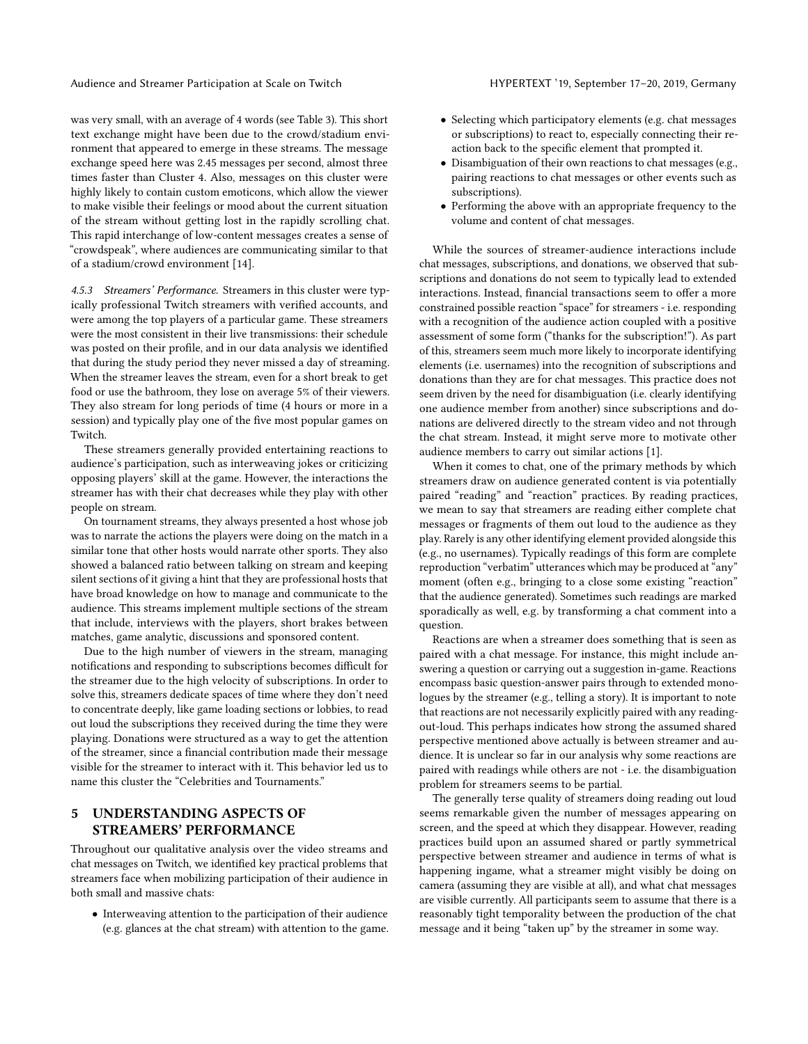was very small, with an average of 4 words (see Table [3\)](#page-4-1). This short text exchange might have been due to the crowd/stadium environment that appeared to emerge in these streams. The message exchange speed here was 2.45 messages per second, almost three times faster than Cluster 4. Also, messages on this cluster were highly likely to contain custom emoticons, which allow the viewer to make visible their feelings or mood about the current situation of the stream without getting lost in the rapidly scrolling chat. This rapid interchange of low-content messages creates a sense of "crowdspeak", where audiences are communicating similar to that of a stadium/crowd environment [\[14\]](#page-9-4).

4.5.3 Streamers' Performance. Streamers in this cluster were typically professional Twitch streamers with verified accounts, and were among the top players of a particular game. These streamers were the most consistent in their live transmissions: their schedule was posted on their profile, and in our data analysis we identified that during the study period they never missed a day of streaming. When the streamer leaves the stream, even for a short break to get food or use the bathroom, they lose on average 5% of their viewers. They also stream for long periods of time (4 hours or more in a session) and typically play one of the five most popular games on Twitch.

These streamers generally provided entertaining reactions to audience's participation, such as interweaving jokes or criticizing opposing players' skill at the game. However, the interactions the streamer has with their chat decreases while they play with other people on stream.

On tournament streams, they always presented a host whose job was to narrate the actions the players were doing on the match in a similar tone that other hosts would narrate other sports. They also showed a balanced ratio between talking on stream and keeping silent sections of it giving a hint that they are professional hosts that have broad knowledge on how to manage and communicate to the audience. This streams implement multiple sections of the stream that include, interviews with the players, short brakes between matches, game analytic, discussions and sponsored content.

Due to the high number of viewers in the stream, managing notifications and responding to subscriptions becomes difficult for the streamer due to the high velocity of subscriptions. In order to solve this, streamers dedicate spaces of time where they don't need to concentrate deeply, like game loading sections or lobbies, to read out loud the subscriptions they received during the time they were playing. Donations were structured as a way to get the attention of the streamer, since a financial contribution made their message visible for the streamer to interact with it. This behavior led us to name this cluster the "Celebrities and Tournaments."

# 5 UNDERSTANDING ASPECTS OF STREAMERS' PERFORMANCE

Throughout our qualitative analysis over the video streams and chat messages on Twitch, we identified key practical problems that streamers face when mobilizing participation of their audience in both small and massive chats:

• Interweaving attention to the participation of their audience (e.g. glances at the chat stream) with attention to the game.

- Selecting which participatory elements (e.g. chat messages or subscriptions) to react to, especially connecting their reaction back to the specific element that prompted it.
- Disambiguation of their own reactions to chat messages (e.g., pairing reactions to chat messages or other events such as subscriptions).
- Performing the above with an appropriate frequency to the volume and content of chat messages.

While the sources of streamer-audience interactions include chat messages, subscriptions, and donations, we observed that subscriptions and donations do not seem to typically lead to extended interactions. Instead, financial transactions seem to offer a more constrained possible reaction "space" for streamers - i.e. responding with a recognition of the audience action coupled with a positive assessment of some form ("thanks for the subscription!"). As part of this, streamers seem much more likely to incorporate identifying elements (i.e. usernames) into the recognition of subscriptions and donations than they are for chat messages. This practice does not seem driven by the need for disambiguation (i.e. clearly identifying one audience member from another) since subscriptions and donations are delivered directly to the stream video and not through the chat stream. Instead, it might serve more to motivate other audience members to carry out similar actions [\[1\]](#page-9-39).

When it comes to chat, one of the primary methods by which streamers draw on audience generated content is via potentially paired "reading" and "reaction" practices. By reading practices, we mean to say that streamers are reading either complete chat messages or fragments of them out loud to the audience as they play. Rarely is any other identifying element provided alongside this (e.g., no usernames). Typically readings of this form are complete reproduction "verbatim" utterances which may be produced at "any" moment (often e.g., bringing to a close some existing "reaction" that the audience generated). Sometimes such readings are marked sporadically as well, e.g. by transforming a chat comment into a question.

Reactions are when a streamer does something that is seen as paired with a chat message. For instance, this might include answering a question or carrying out a suggestion in-game. Reactions encompass basic question-answer pairs through to extended monologues by the streamer (e.g., telling a story). It is important to note that reactions are not necessarily explicitly paired with any readingout-loud. This perhaps indicates how strong the assumed shared perspective mentioned above actually is between streamer and audience. It is unclear so far in our analysis why some reactions are paired with readings while others are not - i.e. the disambiguation problem for streamers seems to be partial.

The generally terse quality of streamers doing reading out loud seems remarkable given the number of messages appearing on screen, and the speed at which they disappear. However, reading practices build upon an assumed shared or partly symmetrical perspective between streamer and audience in terms of what is happening ingame, what a streamer might visibly be doing on camera (assuming they are visible at all), and what chat messages are visible currently. All participants seem to assume that there is a reasonably tight temporality between the production of the chat message and it being "taken up" by the streamer in some way.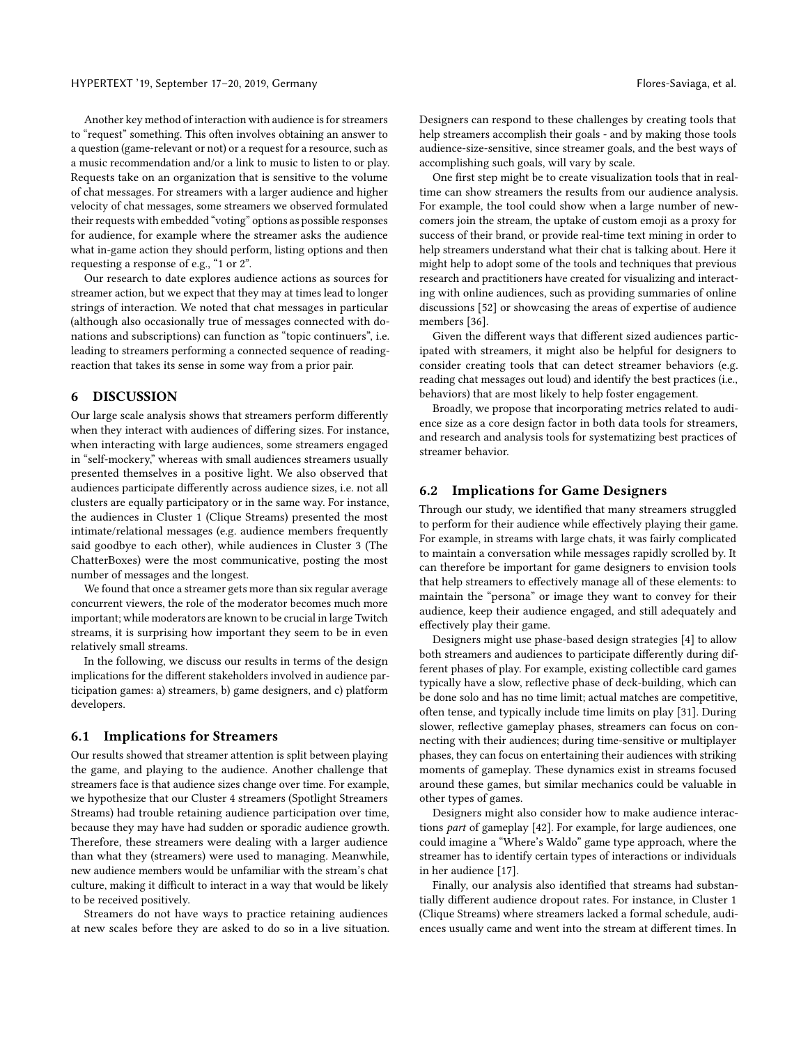Another key method of interaction with audience is for streamers to "request" something. This often involves obtaining an answer to a question (game-relevant or not) or a request for a resource, such as a music recommendation and/or a link to music to listen to or play. Requests take on an organization that is sensitive to the volume of chat messages. For streamers with a larger audience and higher velocity of chat messages, some streamers we observed formulated their requests with embedded "voting" options as possible responses for audience, for example where the streamer asks the audience what in-game action they should perform, listing options and then requesting a response of e.g., "1 or 2".

Our research to date explores audience actions as sources for streamer action, but we expect that they may at times lead to longer strings of interaction. We noted that chat messages in particular (although also occasionally true of messages connected with donations and subscriptions) can function as "topic continuers", i.e. leading to streamers performing a connected sequence of readingreaction that takes its sense in some way from a prior pair.

#### 6 DISCUSSION

Our large scale analysis shows that streamers perform differently when they interact with audiences of differing sizes. For instance, when interacting with large audiences, some streamers engaged in "self-mockery," whereas with small audiences streamers usually presented themselves in a positive light. We also observed that audiences participate differently across audience sizes, i.e. not all clusters are equally participatory or in the same way. For instance, the audiences in Cluster 1 (Clique Streams) presented the most intimate/relational messages (e.g. audience members frequently said goodbye to each other), while audiences in Cluster 3 (The ChatterBoxes) were the most communicative, posting the most number of messages and the longest.

We found that once a streamer gets more than six regular average concurrent viewers, the role of the moderator becomes much more important; while moderators are known to be crucial in large Twitch streams, it is surprising how important they seem to be in even relatively small streams.

In the following, we discuss our results in terms of the design implications for the different stakeholders involved in audience participation games: a) streamers, b) game designers, and c) platform developers.

#### 6.1 Implications for Streamers

Our results showed that streamer attention is split between playing the game, and playing to the audience. Another challenge that streamers face is that audience sizes change over time. For example, we hypothesize that our Cluster 4 streamers (Spotlight Streamers Streams) had trouble retaining audience participation over time, because they may have had sudden or sporadic audience growth. Therefore, these streamers were dealing with a larger audience than what they (streamers) were used to managing. Meanwhile, new audience members would be unfamiliar with the stream's chat culture, making it difficult to interact in a way that would be likely to be received positively.

Streamers do not have ways to practice retaining audiences at new scales before they are asked to do so in a live situation. Designers can respond to these challenges by creating tools that help streamers accomplish their goals - and by making those tools audience-size-sensitive, since streamer goals, and the best ways of accomplishing such goals, will vary by scale.

One first step might be to create visualization tools that in realtime can show streamers the results from our audience analysis. For example, the tool could show when a large number of newcomers join the stream, the uptake of custom emoji as a proxy for success of their brand, or provide real-time text mining in order to help streamers understand what their chat is talking about. Here it might help to adopt some of the tools and techniques that previous research and practitioners have created for visualizing and interacting with online audiences, such as providing summaries of online discussions [\[52\]](#page-10-6) or showcasing the areas of expertise of audience members [\[36\]](#page-9-40).

Given the different ways that different sized audiences participated with streamers, it might also be helpful for designers to consider creating tools that can detect streamer behaviors (e.g. reading chat messages out loud) and identify the best practices (i.e., behaviors) that are most likely to help foster engagement.

Broadly, we propose that incorporating metrics related to audience size as a core design factor in both data tools for streamers, and research and analysis tools for systematizing best practices of streamer behavior.

#### 6.2 Implications for Game Designers

Through our study, we identified that many streamers struggled to perform for their audience while effectively playing their game. For example, in streams with large chats, it was fairly complicated to maintain a conversation while messages rapidly scrolled by. It can therefore be important for game designers to envision tools that help streamers to effectively manage all of these elements: to maintain the "persona" or image they want to convey for their audience, keep their audience engaged, and still adequately and effectively play their game.

Designers might use phase-based design strategies [\[4\]](#page-9-41) to allow both streamers and audiences to participate differently during different phases of play. For example, existing collectible card games typically have a slow, reflective phase of deck-building, which can be done solo and has no time limit; actual matches are competitive, often tense, and typically include time limits on play [\[31\]](#page-9-42). During slower, reflective gameplay phases, streamers can focus on connecting with their audiences; during time-sensitive or multiplayer phases, they can focus on entertaining their audiences with striking moments of gameplay. These dynamics exist in streams focused around these games, but similar mechanics could be valuable in other types of games.

Designers might also consider how to make audience interactions *part* of gameplay [\[42\]](#page-9-12). For example, for large audiences, one could imagine a "Where's Waldo" game type approach, where the streamer has to identify certain types of interactions or individuals in her audience [\[17\]](#page-9-43).

Finally, our analysis also identified that streams had substantially different audience dropout rates. For instance, in Cluster 1 (Clique Streams) where streamers lacked a formal schedule, audiences usually came and went into the stream at different times. In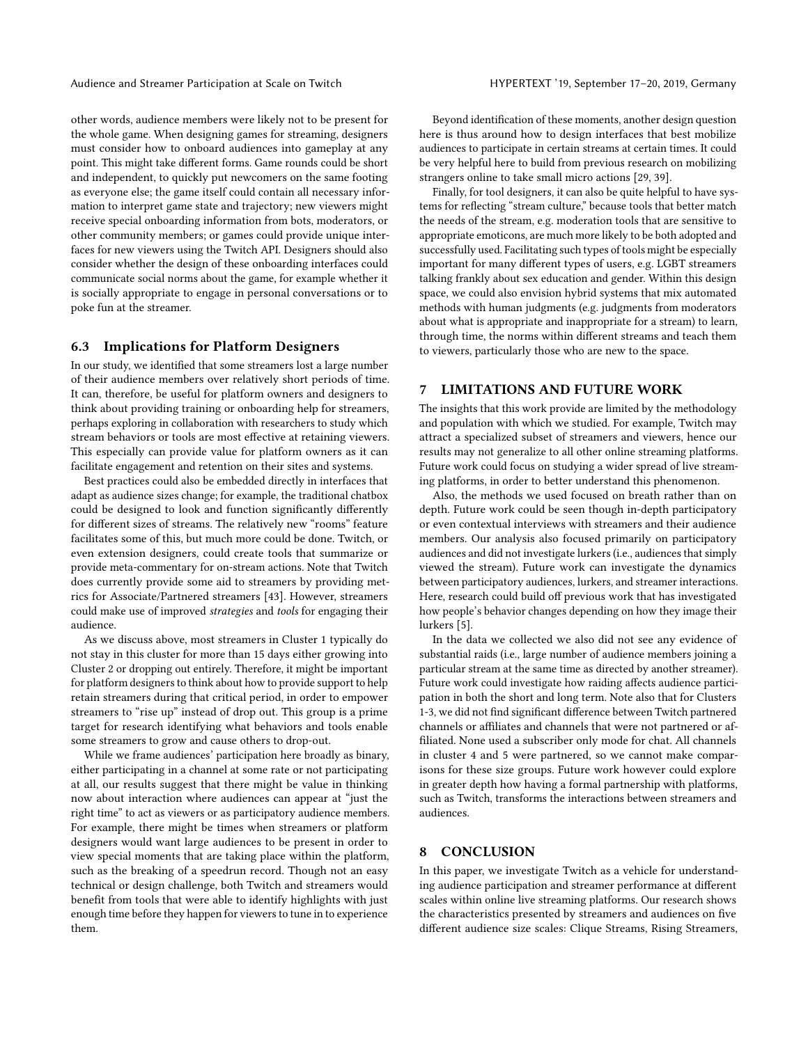other words, audience members were likely not to be present for the whole game. When designing games for streaming, designers must consider how to onboard audiences into gameplay at any point. This might take different forms. Game rounds could be short and independent, to quickly put newcomers on the same footing as everyone else; the game itself could contain all necessary information to interpret game state and trajectory; new viewers might receive special onboarding information from bots, moderators, or other community members; or games could provide unique interfaces for new viewers using the Twitch API. Designers should also consider whether the design of these onboarding interfaces could communicate social norms about the game, for example whether it is socially appropriate to engage in personal conversations or to poke fun at the streamer.

### 6.3 Implications for Platform Designers

In our study, we identified that some streamers lost a large number of their audience members over relatively short periods of time. It can, therefore, be useful for platform owners and designers to think about providing training or onboarding help for streamers, perhaps exploring in collaboration with researchers to study which stream behaviors or tools are most effective at retaining viewers. This especially can provide value for platform owners as it can facilitate engagement and retention on their sites and systems.

Best practices could also be embedded directly in interfaces that adapt as audience sizes change; for example, the traditional chatbox could be designed to look and function significantly differently for different sizes of streams. The relatively new "rooms" feature facilitates some of this, but much more could be done. Twitch, or even extension designers, could create tools that summarize or provide meta-commentary for on-stream actions. Note that Twitch does currently provide some aid to streamers by providing metrics for Associate/Partnered streamers [\[43\]](#page-9-11). However, streamers could make use of improved strategies and tools for engaging their audience.

As we discuss above, most streamers in Cluster 1 typically do not stay in this cluster for more than 15 days either growing into Cluster 2 or dropping out entirely. Therefore, it might be important for platform designers to think about how to provide support to help retain streamers during that critical period, in order to empower streamers to "rise up" instead of drop out. This group is a prime target for research identifying what behaviors and tools enable some streamers to grow and cause others to drop-out.

While we frame audiences' participation here broadly as binary, either participating in a channel at some rate or not participating at all, our results suggest that there might be value in thinking now about interaction where audiences can appear at "just the right time" to act as viewers or as participatory audience members. For example, there might be times when streamers or platform designers would want large audiences to be present in order to view special moments that are taking place within the platform, such as the breaking of a speedrun record. Though not an easy technical or design challenge, both Twitch and streamers would benefit from tools that were able to identify highlights with just enough time before they happen for viewers to tune in to experience them.

Beyond identification of these moments, another design question here is thus around how to design interfaces that best mobilize audiences to participate in certain streams at certain times. It could be very helpful here to build from previous research on mobilizing strangers online to take small micro actions [\[29,](#page-9-44) [39\]](#page-9-45).

Finally, for tool designers, it can also be quite helpful to have systems for reflecting "stream culture," because tools that better match the needs of the stream, e.g. moderation tools that are sensitive to appropriate emoticons, are much more likely to be both adopted and successfully used. Facilitating such types of tools might be especially important for many different types of users, e.g. LGBT streamers talking frankly about sex education and gender. Within this design space, we could also envision hybrid systems that mix automated methods with human judgments (e.g. judgments from moderators about what is appropriate and inappropriate for a stream) to learn, through time, the norms within different streams and teach them to viewers, particularly those who are new to the space.

#### 7 LIMITATIONS AND FUTURE WORK

The insights that this work provide are limited by the methodology and population with which we studied. For example, Twitch may attract a specialized subset of streamers and viewers, hence our results may not generalize to all other online streaming platforms. Future work could focus on studying a wider spread of live streaming platforms, in order to better understand this phenomenon.

Also, the methods we used focused on breath rather than on depth. Future work could be seen though in-depth participatory or even contextual interviews with streamers and their audience members. Our analysis also focused primarily on participatory audiences and did not investigate lurkers (i.e., audiences that simply viewed the stream). Future work can investigate the dynamics between participatory audiences, lurkers, and streamer interactions. Here, research could build off previous work that has investigated how people's behavior changes depending on how they image their lurkers [\[5\]](#page-9-46).

In the data we collected we also did not see any evidence of substantial raids (i.e., large number of audience members joining a particular stream at the same time as directed by another streamer). Future work could investigate how raiding affects audience participation in both the short and long term. Note also that for Clusters 1-3, we did not find significant difference between Twitch partnered channels or affiliates and channels that were not partnered or affiliated. None used a subscriber only mode for chat. All channels in cluster 4 and 5 were partnered, so we cannot make comparisons for these size groups. Future work however could explore in greater depth how having a formal partnership with platforms, such as Twitch, transforms the interactions between streamers and audiences.

#### 8 CONCLUSION

In this paper, we investigate Twitch as a vehicle for understanding audience participation and streamer performance at different scales within online live streaming platforms. Our research shows the characteristics presented by streamers and audiences on five different audience size scales: Clique Streams, Rising Streamers,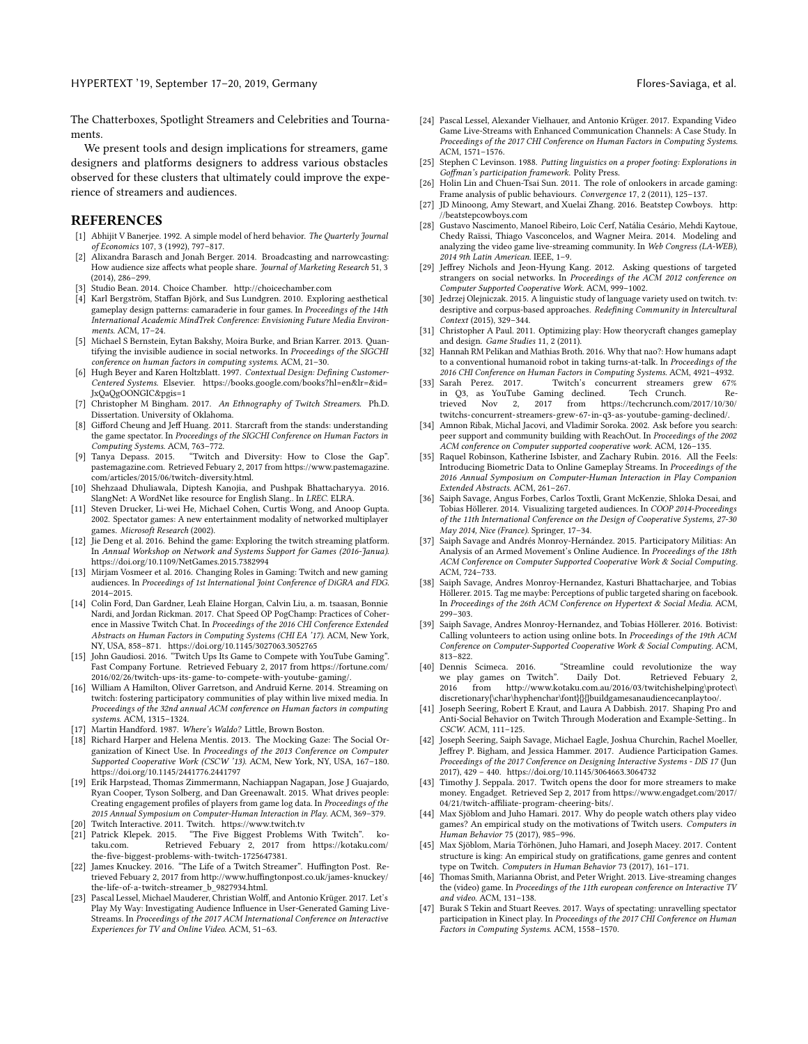The Chatterboxes, Spotlight Streamers and Celebrities and Tournaments.

We present tools and design implications for streamers, game designers and platforms designers to address various obstacles observed for these clusters that ultimately could improve the experience of streamers and audiences.

#### **REFERENCES**

- <span id="page-9-39"></span>[1] Abhijit V Banerjee. 1992. A simple model of herd behavior. The Quarterly Journal of Economics 107, 3 (1992), 797–817.
- <span id="page-9-29"></span>[2] Alixandra Barasch and Jonah Berger. 2014. Broadcasting and narrowcasting: How audience size affects what people share. Journal of Marketing Research 51, 3 (2014), 286–299.
- <span id="page-9-30"></span>[3] Studio Bean. 2014. Choice Chamber.<http://choicechamber.com>
- <span id="page-9-41"></span>[4] Karl Bergström, Staffan Björk, and Sus Lundgren. 2010. Exploring aesthetical gameplay design patterns: camaraderie in four games. In Proceedings of the 14th International Academic MindTrek Conference: Envisioning Future Media Environments. ACM, 17–24.
- <span id="page-9-46"></span>[5] Michael S Bernstein, Eytan Bakshy, Moira Burke, and Brian Karrer. 2013. Quantifying the invisible audience in social networks. In Proceedings of the SIGCHI conference on human factors in computing systems. ACM, 21–30.
- <span id="page-9-21"></span>[6] Hugh Beyer and Karen Holtzblatt. 1997. Contextual Design: Defining Customer-Centered Systems. Elsevier. [https://books.google.com/books?hl=en&lr=&id=](https://books.google.com/books?hl=en&lr=&id=JxQaQgOONGIC&pgis=1) [JxQaQgOONGIC&pgis=1](https://books.google.com/books?hl=en&lr=&id=JxQaQgOONGIC&pgis=1)
- <span id="page-9-17"></span>[7] Christopher M Bingham. 2017. An Ethnography of Twitch Streamers. Ph.D. Dissertation. University of Oklahoma.
- <span id="page-9-3"></span>[8] Gifford Cheung and Jeff Huang. 2011. Starcraft from the stands: understanding the game spectator. In Proceedings of the SIGCHI Conference on Human Factors in Computing Systems. ACM, 763–772.
- <span id="page-9-9"></span>[9] Tanya Depass. 2015. "Twitch and Diversity: How to Close the Gap". pastemagazine.com. Retrieved Febuary 2, 2017 from [https://www.pastemagazine.](https://www.pastemagazine.com/articles/2015/06/twitch-diversity.html) [com/articles/2015/06/twitch-diversity.html.](https://www.pastemagazine.com/articles/2015/06/twitch-diversity.html)
- <span id="page-9-36"></span>[10] Shehzaad Dhuliawala, Diptesh Kanojia, and Pushpak Bhattacharyya. 2016. SlangNet: A WordNet like resource for English Slang.. In LREC. ELRA.
- <span id="page-9-24"></span>[11] Steven Drucker, Li-wei He, Michael Cohen, Curtis Wong, and Anoop Gupta. 2002. Spectator games: A new entertainment modality of networked multiplayer games. Microsoft Research (2002).
- <span id="page-9-15"></span>[12] Jie Deng et al. 2016. Behind the game: Exploring the twitch streaming platform. In Annual Workshop on Network and Systems Support for Games (2016-Janua). <https://doi.org/10.1109/NetGames.2015.7382994>
- <span id="page-9-32"></span>[13] Mirjam Vosmeer et al. 2016. Changing Roles in Gaming: Twitch and new gaming audiences. In Proceedings of 1st International Joint Conference of DiGRA and FDG. 2014–2015.
- <span id="page-9-4"></span>[14] Colin Ford, Dan Gardner, Leah Elaine Horgan, Calvin Liu, a. m. tsaasan, Bonnie Nardi, and Jordan Rickman. 2017. Chat Speed OP PogChamp: Practices of Coherence in Massive Twitch Chat. In Proceedings of the 2016 CHI Conference Extended Abstracts on Human Factors in Computing Systems (CHI EA '17). ACM, New York, NY, USA, 858–871.<https://doi.org/10.1145/3027063.3052765>
- <span id="page-9-13"></span>[15] John Gaudiosi. 2016. "Twitch Ups Its Game to Compete with YouTube Gaming". Fast Company Fortune. Retrieved Febuary 2, 2017 from [https://fortune.com/](https://fortune.com/2016/02/26/twitch-ups-its-game-to-compete-with-youtube-gaming/) [2016/02/26/twitch-ups-its-game-to-compete-with-youtube-gaming/.](https://fortune.com/2016/02/26/twitch-ups-its-game-to-compete-with-youtube-gaming/)
- <span id="page-9-0"></span>[16] William A Hamilton, Oliver Garretson, and Andruid Kerne. 2014. Streaming on twitch: fostering participatory communities of play within live mixed media. In Proceedings of the 32nd annual ACM conference on Human factors in computing systems. ACM, 1315–1324.
- <span id="page-9-43"></span>[17] Martin Handford. 1987. Where's Waldo? Little, Brown Boston.
- <span id="page-9-5"></span>[18] Richard Harper and Helena Mentis. 2013. The Mocking Gaze: The Social Organization of Kinect Use. In Proceedings of the 2013 Conference on Computer Supported Cooperative Work (CSCW '13). ACM, New York, NY, USA, 167–180. <https://doi.org/10.1145/2441776.2441797>
- <span id="page-9-26"></span>[19] Erik Harpstead, Thomas Zimmermann, Nachiappan Nagapan, Jose J Guajardo, Ryan Cooper, Tyson Solberg, and Dan Greenawalt. 2015. What drives people: Creating engagement profiles of players from game log data. In Proceedings of the 2015 Annual Symposium on Computer-Human Interaction in Play. ACM, 369–379.
- <span id="page-9-27"></span>[20] Twitch Interactive. 2011. Twitch.<https://www.twitch.tv>
- <span id="page-9-8"></span>[21] Patrick Klepek. 2015. "The Five Biggest Problems With Twitch". koRetrieved Febuary 2, 2017 from [https://kotaku.com/](https://kotaku.com/the-five-biggest-problems-with-twitch-1725647381) [the-five-biggest-problems-with-twitch-1725647381.](https://kotaku.com/the-five-biggest-problems-with-twitch-1725647381)
- <span id="page-9-10"></span>[22] James Knuckey. 2016. "The Life of a Twitch Streamer". Huffington Post. Retrieved Febuary 2, 2017 from [http://www.huffingtonpost.co.uk/james-knuckey/](http://www.huffingtonpost.co.uk/james-knuckey/the-life-of-a-twitch-streamer_b_9827934.html) [the-life-of-a-twitch-streamer\\_b\\_9827934.html.](http://www.huffingtonpost.co.uk/james-knuckey/the-life-of-a-twitch-streamer_b_9827934.html)
- <span id="page-9-16"></span>[23] Pascal Lessel, Michael Mauderer, Christian Wolff, and Antonio Krüger. 2017. Let's Play My Way: Investigating Audience Influence in User-Generated Gaming Live-Streams. In Proceedings of the 2017 ACM International Conference on Interactive Experiences for TV and Online Video. ACM, 51–63.
- <span id="page-9-18"></span>[24] Pascal Lessel, Alexander Vielhauer, and Antonio Krüger. 2017. Expanding Video
- Game Live-Streams with Enhanced Communication Channels: A Case Study. In Proceedings of the 2017 CHI Conference on Human Factors in Computing Systems. ACM, 1571–1576.
- <span id="page-9-14"></span>[25] Stephen C Levinson. 1988. Putting linguistics on a proper footing: Explorations in Goffman's participation framework. Polity Press.
- <span id="page-9-6"></span>[26] Holin Lin and Chuen-Tsai Sun. 2011. The role of onlookers in arcade gaming: Frame analysis of public behaviours. Convergence 17, 2 (2011), 125–137.
- <span id="page-9-31"></span>[27] JD Minoong, Amy Stewart, and Xuelai Zhang. 2016. Beatstep Cowboys. [http:](http://beatstepcowboys.com) [//beatstepcowboys.com](http://beatstepcowboys.com)
- <span id="page-9-34"></span>[28] Gustavo Nascimento, Manoel Ribeiro, Loïc Cerf, Natália Cesário, Mehdi Kaytoue, Chedy Raïssi, Thiago Vasconcelos, and Wagner Meira. 2014. Modeling and analyzing the video game live-streaming community. In Web Congress (LA-WEB), 2014 9th Latin American. IEEE, 1–9.
- <span id="page-9-44"></span>[29] Jeffrey Nichols and Jeon-Hyung Kang. 2012. Asking questions of targeted strangers on social networks. In Proceedings of the ACM 2012 conference on Computer Supported Cooperative Work. ACM, 999–1002.
- <span id="page-9-28"></span>[30] Jedrzej Olejniczak. 2015. A linguistic study of language variety used on twitch. tv: desriptive and corpus-based approaches. Redefining Community in Intercultural Context (2015), 329–344.
- <span id="page-9-42"></span>[31] Christopher A Paul. 2011. Optimizing play: How theorycraft changes gameplay and design. Game Studies 11, 2 (2011).
- <span id="page-9-37"></span>[32] Hannah RM Pelikan and Mathias Broth. 2016. Why that nao?: How humans adapt to a conventional humanoid robot in taking turns-at-talk. In Proceedings of the 2016 CHI Conference on Human Factors in Computing Systems. ACM, 4921-4932.<br>[33] Sarah Perez. 2017. Twitch's concurrent streamers grew 67%
- <span id="page-9-1"></span>Twitch's concurrent streamers grew 67%<br>hing declined. Tech Crunch. Rein Q3, as YouTube Gaming declined. Tech Crunch. Re-<br>trieved Nov 2, 2017 from https://techcrunch.com/2017/10/30/ trieved Nov 2, 2017 from [https://techcrunch.com/2017/10/30/](https://techcrunch.com/2017/10/30/twitchs-concurrent-streamers-grew-67-in-q3-as-youtube-gaming-declined/) [twitchs-concurrent-streamers-grew-67-in-q3-as-youtube-gaming-declined/.](https://techcrunch.com/2017/10/30/twitchs-concurrent-streamers-grew-67-in-q3-as-youtube-gaming-declined/)
- <span id="page-9-35"></span>[34] Amnon Ribak, Michal Jacovi, and Vladimir Soroka. 2002. Ask before you search: peer support and community building with ReachOut. In Proceedings of the 2002 ACM conference on Computer supported cooperative work. ACM, 126–135.
- <span id="page-9-25"></span>[35] Raquel Robinson, Katherine Isbister, and Zachary Rubin. 2016. All the Feels: Introducing Biometric Data to Online Gameplay Streams. In Proceedings of the 2016 Annual Symposium on Computer-Human Interaction in Play Companion Extended Abstracts. ACM, 261–267.
- <span id="page-9-40"></span>[36] Saiph Savage, Angus Forbes, Carlos Toxtli, Grant McKenzie, Shloka Desai, and Tobias Höllerer. 2014. Visualizing targeted audiences. In COOP 2014-Proceedings of the 11th International Conference on the Design of Cooperative Systems, 27-30 May 2014, Nice (France). Springer, 17–34.
- <span id="page-9-22"></span>[37] Saiph Savage and Andrés Monroy-Hernández. 2015. Participatory Militias: An Analysis of an Armed Movement's Online Audience. In Proceedings of the 18th ACM Conference on Computer Supported Cooperative Work & Social Computing. ACM, 724–733.
- <span id="page-9-38"></span>[38] Saiph Savage, Andres Monroy-Hernandez, Kasturi Bhattacharjee, and Tobias Höllerer. 2015. Tag me maybe: Perceptions of public targeted sharing on facebook. In Proceedings of the 26th ACM Conference on Hypertext & Social Media. ACM, 299–303.
- <span id="page-9-45"></span>[39] Saiph Savage, Andres Monroy-Hernandez, and Tobias Höllerer. 2016. Botivist: Calling volunteers to action using online bots. In Proceedings of the 19th ACM Conference on Computer-Supported Cooperative Work & Social Computing. ACM, 813–822.<br>[40] Dennis Scimeca, 2016.
- <span id="page-9-2"></span>"Streamline could revolutionize the way we play games on Twitch". Daily Dot. Retrieved Febuary 2, 2016 from [http://www.kotaku.com.au/2016/03/twitchishelping\protect\](http://www.kotaku.com.au/2016/03/twitchishelping\protect \discretionary {\char \hyphenchar \font }{}{}buildgamesanaudiencecanplaytoo/)  $discretionary{\char'{b}p}henchar{\font{}{}build games an audience can play too/.}$
- <span id="page-9-33"></span>[41] Joseph Seering, Robert E Kraut, and Laura A Dabbish. 2017. Shaping Pro and Anti-Social Behavior on Twitch Through Moderation and Example-Setting.. In CSCW. ACM, 111–125.
- <span id="page-9-12"></span>[42] Joseph Seering, Saiph Savage, Michael Eagle, Joshua Churchin, Rachel Moeller, Jeffrey P. Bigham, and Jessica Hammer. 2017. Audience Participation Games. Proceedings of the 2017 Conference on Designing Interactive Systems - DIS 17 (Jun 2017), 429 – 440.<https://doi.org/10.1145/3064663.3064732>
- <span id="page-9-11"></span>[43] Timothy J. Seppala. 2017. Twitch opens the door for more streamers to make money. Engadget. Retrieved Sep 2, 2017 from [https://www.engadget.com/2017/](https://www.engadget.com/2017/04/21/twitch-affiliate-program-cheering-bits/) [04/21/twitch-affiliate-program-cheering-bits/.](https://www.engadget.com/2017/04/21/twitch-affiliate-program-cheering-bits/)
- <span id="page-9-23"></span>[44] Max Sjöblom and Juho Hamari. 2017. Why do people watch others play video games? An empirical study on the motivations of Twitch users. Computers in Human Behavior 75 (2017), 985–996.
- <span id="page-9-20"></span>[45] Max Sjöblom, Maria Törhönen, Juho Hamari, and Joseph Macey. 2017. Content structure is king: An empirical study on gratifications, game genres and content type on Twitch. Computers in Human Behavior 73 (2017), 161–171.
- <span id="page-9-19"></span>[46] Thomas Smith, Marianna Obrist, and Peter Wright. 2013. Live-streaming changes the (video) game. In Proceedings of the 11th european conference on Interactive TV and video. ACM, 131–138.
- <span id="page-9-7"></span>[47] Burak S Tekin and Stuart Reeves. 2017. Ways of spectating: unravelling spectator participation in Kinect play. In Proceedings of the 2017 CHI Conference on Human Factors in Computing Systems. ACM, 1558-1570.